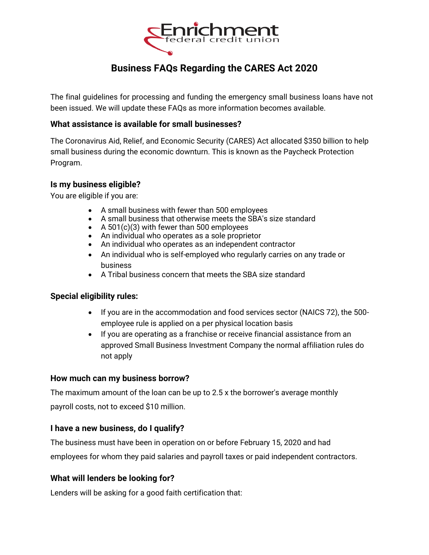

# **Business FAQs Regarding the CARES Act 2020**

The final guidelines for processing and funding the emergency small business loans have not been issued. We will update these FAQs as more information becomes available.

## **What assistance is available for small businesses?**

The Coronavirus Aid, Relief, and Economic Security (CARES) Act allocated \$350 billion to help small business during the economic downturn. This is known as the Paycheck Protection Program.

### **Is my business eligible?**

You are eligible if you are:

- A small business with fewer than 500 employees
- A small business that otherwise meets the SBA's size standard
- A 501(c)(3) with fewer than 500 employees
- An individual who operates as a sole proprietor
- An individual who operates as an independent contractor
- An individual who is self-employed who regularly carries on any trade or business
- A Tribal business concern that meets the SBA size standard

#### **Special eligibility rules:**

- If you are in the accommodation and food services sector (NAICS 72), the 500 employee rule is applied on a per physical location basis
- If you are operating as a franchise or receive financial assistance from an approved Small Business Investment Company the normal affiliation rules do not apply

#### **How much can my business borrow?**

The maximum amount of the loan can be up to 2.5 x the borrower's average monthly payroll costs, not to exceed \$10 million.

#### **I have a new business, do I qualify?**

The business must have been in operation on or before February 15, 2020 and had employees for whom they paid salaries and payroll taxes or paid independent contractors.

## **What will lenders be looking for?**

Lenders will be asking for a good faith certification that: